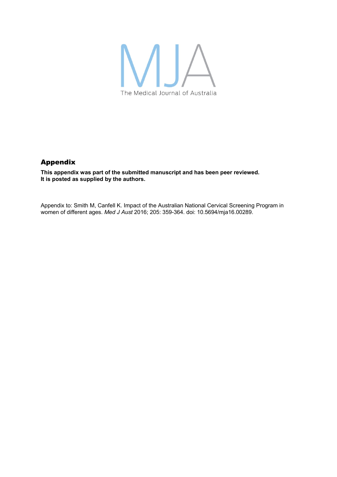

## Appendix

**This appendix was part of the submitted manuscript and has been peer reviewed. It is posted as supplied by the authors.** 

Appendix to: Smith M, Canfell K. Impact of the Australian National Cervical Screening Program in women of different ages. *Med J Aust* 2016; 205: 359-364. doi: 10.5694/mja16.00289.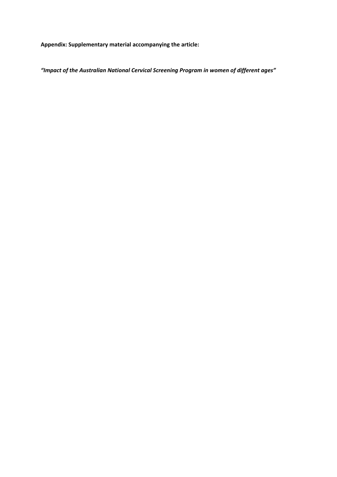**Appendix: Supplementary material accompanying the article:** 

*"Impact of the Australian National Cervical Screening Program in women of different ages"*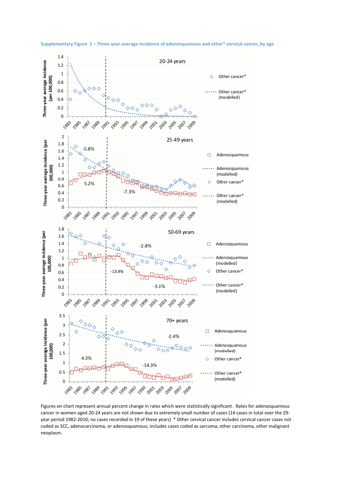

**Supplementary Figure 1 – Three-year average incidence of adenosquamous and other\* cervical cancer, by age** 

Figures on chart represent annual percent change in rates which were statistically significant. Rates for adenosquamous cancer in women aged 20-24 years are not shown due to extremely small number of cases (14 cases in total over the 29 year period 1982-2010; no cases recorded in 19 of these years) \* Other cervical cancer includes cervical cancer cases not coded as SCC, adenocarcinoma, or adenosquamous; includes cases coded as sarcoma, other carcinoma, other malignant neoplasm.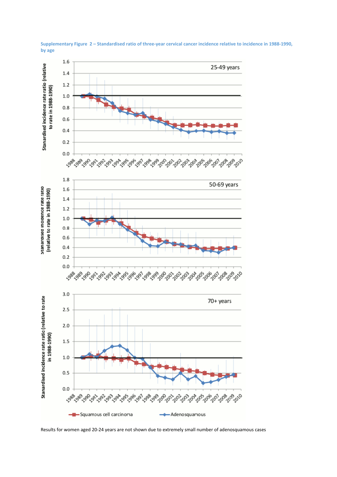

**Supplementary Figure 2 – Standardised ratio of three-year cervical cancer incidence relative to incidence in 1988-1990, by age** 

Results for women aged 20-24 years are not shown due to extremely small number of adenosquamous cases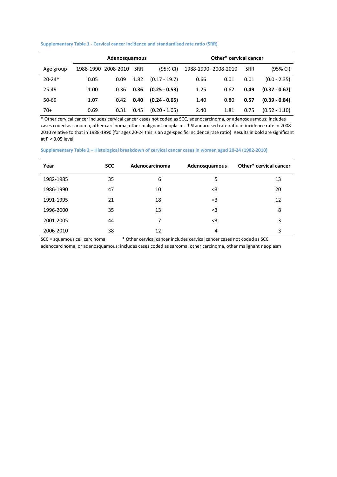## **Supplementary Table 1 - Cervical cancer incidence and standardised rate ratio (SRR)**

|                        | Adenosquamous |           |            |                 | Other* cervical cancer |           |            |                 |
|------------------------|---------------|-----------|------------|-----------------|------------------------|-----------|------------|-----------------|
| Age group              | 1988-1990     | 2008-2010 | <b>SRR</b> | (95% CI)        | 1988-1990              | 2008-2010 | <b>SRR</b> | (95% CI)        |
| $20 - 24$ <sup>+</sup> | 0.05          | 0.09      | 1.82       | $(0.17 - 19.7)$ | 0.66                   | 0.01      | 0.01       | $(0.0 - 2.35)$  |
| 25-49                  | 1.00          | 0.36      | 0.36       | $(0.25 - 0.53)$ | 1.25                   | 0.62      | 0.49       | $(0.37 - 0.67)$ |
| 50-69                  | 1.07          | 0.42      | 0.40       | $(0.24 - 0.65)$ | 1.40                   | 0.80      | 0.57       | $(0.39 - 0.84)$ |
| $70+$                  | 0.69          | 0.31      | 0.45       | $(0.20 - 1.05)$ | 2.40                   | 1.81      | 0.75       | $(0.52 - 1.10)$ |

\* Other cervical cancer includes cervical cancer cases not coded as SCC, adenocarcinoma, or adenosquamous; includes cases coded as sarcoma, other carcinoma, other malignant neoplasm. † Standardised rate ratio of incidence rate in 2008- 2010 relative to that in 1988-1990 (for ages 20-24 this is an age-specific incidence rate ratio) Results in bold are significant at P < 0.05 level

**Supplementary Table 2 – Histological breakdown of cervical cancer cases in women aged 20-24 (1982-2010)** 

| Year      | <b>SCC</b> | Adenocarcinoma | Adenosquamous | Other* cervical cancer |
|-----------|------------|----------------|---------------|------------------------|
| 1982-1985 | 35         | 6              | 5             | 13                     |
| 1986-1990 | 47         | 10             | $3$           | 20                     |
| 1991-1995 | 21         | 18             | $3$           | 12                     |
| 1996-2000 | 35         | 13             | $3$           | 8                      |
| 2001-2005 | 44         | 7              | $3$           | 3                      |
| 2006-2010 | 38         | 12             | 4             | 3                      |

SCC = squamous cell carcinoma \* Other cervical cancer includes cervical cancer cases not coded as SCC,

adenocarcinoma, or adenosquamous; includes cases coded as sarcoma, other carcinoma, other malignant neoplasm